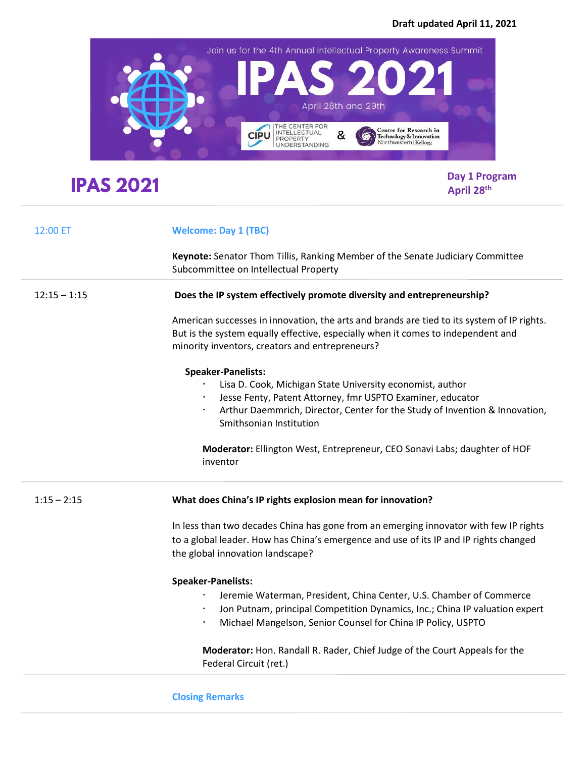

## **IPAS 2021**

 **Day 1 Program April 28th**

| 12:00 ET       | <b>Welcome: Day 1 (TBC)</b>                                                                                                                                                                                                                                                                                                                             |
|----------------|---------------------------------------------------------------------------------------------------------------------------------------------------------------------------------------------------------------------------------------------------------------------------------------------------------------------------------------------------------|
|                | Keynote: Senator Thom Tillis, Ranking Member of the Senate Judiciary Committee<br>Subcommittee on Intellectual Property                                                                                                                                                                                                                                 |
| $12:15 - 1:15$ | Does the IP system effectively promote diversity and entrepreneurship?                                                                                                                                                                                                                                                                                  |
|                | American successes in innovation, the arts and brands are tied to its system of IP rights.<br>But is the system equally effective, especially when it comes to independent and<br>minority inventors, creators and entrepreneurs?                                                                                                                       |
|                | <b>Speaker-Panelists:</b><br>Lisa D. Cook, Michigan State University economist, author<br>Jesse Fenty, Patent Attorney, fmr USPTO Examiner, educator<br>Arthur Daemmrich, Director, Center for the Study of Invention & Innovation,<br>Smithsonian Institution<br>Moderator: Ellington West, Entrepreneur, CEO Sonavi Labs; daughter of HOF<br>inventor |
| $1:15 - 2:15$  | What does China's IP rights explosion mean for innovation?                                                                                                                                                                                                                                                                                              |
|                | In less than two decades China has gone from an emerging innovator with few IP rights<br>to a global leader. How has China's emergence and use of its IP and IP rights changed<br>the global innovation landscape?                                                                                                                                      |
|                | <b>Speaker-Panelists:</b><br>Jeremie Waterman, President, China Center, U.S. Chamber of Commerce<br>Jon Putnam, principal Competition Dynamics, Inc.; China IP valuation expert<br>Michael Mangelson, Senior Counsel for China IP Policy, USPTO                                                                                                         |
|                | Moderator: Hon. Randall R. Rader, Chief Judge of the Court Appeals for the<br>Federal Circuit (ret.)                                                                                                                                                                                                                                                    |